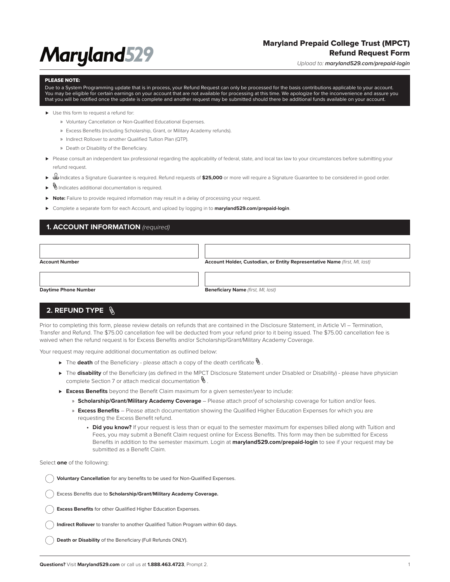# **Maryland529**

## Maryland Prepaid College Trust (MPCT) Refund Request Form

*Upload to: maryland529.com/prepaid-login*

#### PLEASE NOTE:

Due to a System Programming update that is in process, your Refund Request can only be processed for the basis contributions applicable to your account. You may be eligible for certain earnings on your account that are not available for processing at this time. We apologize for the inconvenience and assure you that you will be notified once the update is complete and another request may be submitted should there be additional funds available on your account.

- ► Use this form to request a refund for:
	- » Voluntary Cancellation or Non-Qualified Educational Expenses.
	- » Excess Benefits (including Scholarship, Grant, or Military Academy refunds).
	- » Indirect Rollover to another Qualified Tuition Plan (QTP).
	- » Death or Disability of the Beneficiary.
- ▶ Please consult an independent tax professional regarding the applicability of federal, state, and local tax law to your circumstances before submitting your refund request.
- ⊲ Indicates a Signature Guarantee is required. Refund requests of **\$25,000** or more will require a Signature Guarantee to be considered in good order.
- ⊲ Indicates additional documentation is required.
- ► **Note:** Failure to provide required information may result in a delay of processing your request.
- ► Complete a separate form for each Account, and upload by logging in to **maryland529.com/prepaid-login**.

## **1. ACCOUNT INFORMATION** *(required)*

| <b>Account Number</b>       | Account Holder, Custodian, or Entity Representative Name (first, MI, Iast) |
|-----------------------------|----------------------------------------------------------------------------|
|                             |                                                                            |
|                             |                                                                            |
| <b>Daytime Phone Number</b> | <b>Beneficiary Name</b> (first, MI, last)                                  |

## **2. REFUND TYPE**

Prior to completing this form, please review details on refunds that are contained in the Disclosure Statement, in Article VI – Termination, Transfer and Refund. The \$75.00 cancellation fee will be deducted from your refund prior to it being issued. The \$75.00 cancellation fee is waived when the refund request is for Excess Benefits and/or Scholarship/Grant/Military Academy Coverage.

Your request may require additional documentation as outlined below:

- ► The **death** of the Beneficiary please attach a copy of the death certificate  $\mathcal{N}$ .
- ► The **disability** of the Beneficiary (as defined in the MPCT Disclosure Statement under Disabled or Disability) please have physician complete Section 7 or attach medical documentation  $\mathcal{N}$ .
- ► Excess Benefits beyond the Benefit Claim maximum for a given semester/year to include:
	- » **Scholarship/Grant/Military Academy Coverage** Please attach proof of scholarship coverage for tuition and/or fees.
	- » **Excess Benefits** Please attach documentation showing the Qualified Higher Education Expenses for which you are requesting the Excess Benefit refund.
		- **• Did you know?** If your request is less than or equal to the semester maximum for expenses billed along with Tuition and Fees, you may submit a Benefit Claim request online for Excess Benefits. This form may then be submitted for Excess Benefits in addition to the semester maximum. Login at **maryland529.com/prepaid-login** to see if your request may be submitted as a Benefit Claim.

Select **one** of the following:

**Voluntary Cancellation** for any benefits to be used for Non-Qualified Expenses.

Excess Benefits due to **Scholarship/Grant/Military Academy Coverage.**

**Excess Benefits** for other Qualified Higher Education Expenses.

**Indirect Rollover** to transfer to another Qualified Tuition Program within 60 days.

**Death or Disability** of the Beneficiary (Full Refunds ONLY).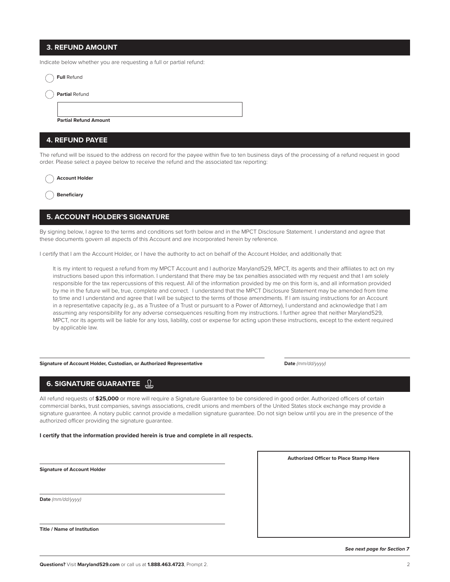### **3. REFUND AMOUNT**

Indicate below whether you are requesting a full or partial refund:

| <b>Full Refund</b>           |  |  |  |
|------------------------------|--|--|--|
| <b>Partial Refund</b>        |  |  |  |
|                              |  |  |  |
| <b>Partial Refund Amount</b> |  |  |  |
| 4. REFUND PAYEE              |  |  |  |

### The refund will be issued to the address on record for the payee within five to ten business days of the processing of a refund request in good order. Please select a payee below to receive the refund and the associated tax reporting:

| Account Holder |  |
|----------------|--|
|                |  |

**Beneficiary**

## **5. ACCOUNT HOLDER'S SIGNATURE**

By signing below, I agree to the terms and conditions set forth below and in the MPCT Disclosure Statement. I understand and agree that these documents govern all aspects of this Account and are incorporated herein by reference.

I certify that I am the Account Holder, or I have the authority to act on behalf of the Account Holder, and additionally that:

It is my intent to request a refund from my MPCT Account and I authorize Maryland529, MPCT, its agents and their affiliates to act on my instructions based upon this information. I understand that there may be tax penalties associated with my request and that I am solely responsible for the tax repercussions of this request. All of the information provided by me on this form is, and all information provided by me in the future will be, true, complete and correct. I understand that the MPCT Disclosure Statement may be amended from time to time and I understand and agree that I will be subject to the terms of those amendments. If I am issuing instructions for an Account in a representative capacity (e.g., as a Trustee of a Trust or pursuant to a Power of Attorney), I understand and acknowledge that I am assuming any responsibility for any adverse consequences resulting from my instructions. I further agree that neither Maryland529, MPCT, nor its agents will be liable for any loss, liability, cost or expense for acting upon these instructions, except to the extent required by applicable law.

**Signature of Account Holder, Custodian, or Authorized Representative Date** *(mm/dd/yyyy)*

**Authorized Officer to Place Stamp Here**

## **6. SIGNATURE GUARANTEE**

All refund requests of **\$25,000** or more will require a Signature Guarantee to be considered in good order. Authorized officers of certain commercial banks, trust companies, savings associations, credit unions and members of the United States stock exchange may provide a signature guarantee. A notary public cannot provide a medallion signature guarantee. Do not sign below until you are in the presence of the authorized officer providing the signature guarantee.

**I certify that the information provided herein is true and complete in all respects.**

**Signature of Account Holder**

**Date** *(mm/dd/yyyy)*

**Title / Name of Institution**

*See next page for Section 7*